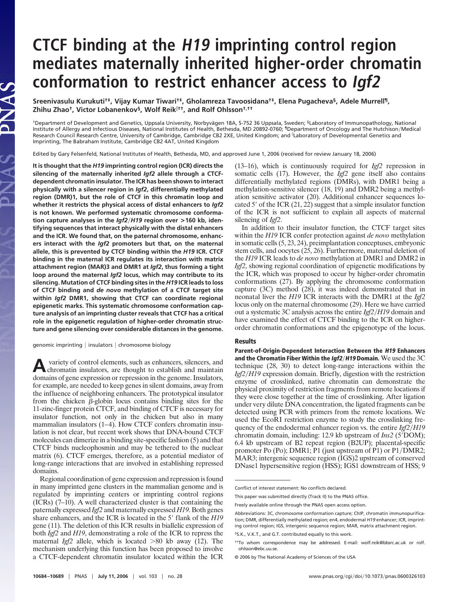## **CTCF binding at the H19 imprinting control region mediates maternally inherited higher-order chromatin conformation to restrict enhancer access to Igf2**

**Sreenivasulu Kurukuti†‡, Vijay Kumar Tiwari†‡, Gholamreza Tavoosidana†‡, Elena Pugacheva§, Adele Murrell¶, Zhihu Zhao†, Victor Lobanenkov§, Wolf Reik††, and Rolf Ohlsson†,††**

<sup>†</sup>Department of Development and Genetics, Uppsala University, Norbyvägen 18A, S-752 36 Uppsala, Sweden; <sup>§</sup>Laboratory of Immunopathology, National Institute of Allergy and Infectious Diseases, National Institutes of Health, Bethesda, MD 20892-0760; <sup>1</sup>Department of Oncology and The Hutchison/Medical Research Council Research Centre, University of Cambridge, Cambridge CB2 2XE, United Kingdom; and Laboratory of Developmental Genetics and Imprinting, The Babraham Institute, Cambridge CB2 4AT, United Kingdom

Edited by Gary Felsenfeld, National Institutes of Health, Bethesda, MD, and approved June 1, 2006 (received for review January 18, 2006)

**It is thought that the** *H19* **imprinting control region (ICR) directs the silencing of the maternally inherited** *Igf2* **allele through a CTCFdependent chromatin insulator. The ICR has been shown to interact physically with a silencer region in** *Igf2***, differentially methylated region (DMR)1, but the role of CTCF in this chromatin loop and whether it restricts the physical access of distal enhancers to** *Igf2* **is not known. We performed systematic chromosome conformation capture analyses in the** *Igf2*-*H19* **region over >160 kb, identifying sequences that interact physically with the distal enhancers and the ICR. We found that, on the paternal chromosome, enhancers interact with the** *Igf2* **promoters but that, on the maternal allele, this is prevented by CTCF binding within the** *H19* **ICR. CTCF binding in the maternal ICR regulates its interaction with matrix attachment region (MAR)3 and DMR1 at** *Igf2***, thus forming a tight loop around the maternal** *Igf2* **locus, which may contribute to its silencing. Mutation of CTCF binding sites in the** *H19* **ICR leads to loss of CTCF binding and** *de novo* **methylation of a CTCF target site within** *Igf2* **DMR1, showing that CTCF can coordinate regional epigenetic marks. This systematic chromosome conformation capture analysis of an imprinting cluster reveals that CTCF has a critical role in the epigenetic regulation of higher-order chromatin structure and gene silencing over considerable distances in the genome.**

genomic imprinting  $|$  insulators  $|$  chromosome biology

**A**variety of control elements, such as enhancers, silencers, and chromatin insulators, are thought to establish and maintain domains of gene expression or repression in the genome. Insulators, for example, are needed to keep genes in silent domains, away from the influence of neighboring enhancers. The prototypical insulator from the chicken  $\beta$ -globin locus contains binding sites for the 11-zinc-finger protein CTCF, and binding of CTCF is necessary for insulator function, not only in the chicken but also in many mammalian insulators (1–4). How CTCF confers chromatin insulation is not clear, but recent work shows that DNA-bound CTCF molecules can dimerize in a binding site-specific fashion (5) and that CTCF binds nucleophosmin and may be tethered to the nuclear matrix (6). CTCF emerges, therefore, as a potential mediator of long-range interactions that are involved in establishing repressed domains.

Regional coordination of gene expression and repression is found in many imprinted gene clusters in the mammalian genome and is regulated by imprinting centers or imprinting control regions (ICRs) (7–10). A well characterized cluster is that containing the paternally expressed *Igf2* and maternally expressed *H19*. Both genes share enhancers, and the ICR is located in the 5' flank of the *H19* gene (11). The deletion of this ICR results in biallelic expression of both *Igf2* and *H19*, demonstrating a role of the ICR to repress the maternal *Igf*2 allele, which is located >80 kb away (12). The mechanism underlying this function has been proposed to involve a CTCF-dependent chromatin insulator located within the ICR (13–16), which is continuously required for *Igf2* repression in somatic cells (17). However, the *Igf2* gene itself also contains differentially methylated regions (DMRs), with DMR1 being a methylation-sensitive silencer (18, 19) and DMR2 being a methylation sensitive activator (20). Additional enhancer sequences located 5' of the ICR  $(21, 22)$  suggest that a simple insulator function of the ICR is not sufficient to explain all aspects of maternal silencing of *Igf2*.

In addition to their insulator function, the CTCF target sites within the *H19* ICR confer protection against *de novo* methylation in somatic cells (5, 23, 24), preimplantation conceptuses, embryonic stem cells, and oocytes (25, 26). Furthermore, maternal deletion of the *H19* ICR leads to *de novo* methylation at DMR1 and DMR2 in *Igf2*, showing regional coordination of epigenetic modifications by the ICR, which was proposed to occur by higher-order chromatin conformations (27). By applying the chromosome conformation capture (3C) method (28), it was indeed demonstrated that in neonatal liver the *H19* ICR interacts with the DMR1 at the *Igf2* locus only on the maternal chromosome (29). Here we have carried out a systematic 3C analysis across the entire *Igf2*-*H19* domain and have examined the effect of CTCF binding to the ICR on higherorder chromatin conformations and the epigenotype of the locus.

## **Results**

**Parent-of-Origin-Dependent Interaction Between the H19 Enhancers and the Chromatin Fiber Within the Igf2**-**H19 Domain.** We used the 3C technique (28, 30) to detect long-range interactions within the *Igf2*-*H19* expression domain. Briefly, digestion with the restriction enzyme of crosslinked, native chromatin can demonstrate the physical proximity of restriction fragments from remote locations if they were close together at the time of crosslinking. After ligation under very dilute DNA concentration, the ligated fragments can be detected using PCR with primers from the remote locations. We used the EcoRI restriction enzyme to study the crosslinking frequency of the endodermal enhancer region vs. the entire *Igf2/H19* chromatin domain, including: 12.9 kb upstream of *Ins2* (5'DOM); 6.4 kb upstream of B2 repeat region (B2UP); placental-specific promoter Po (Po); DMR1; P1 (just upstream of P1) or P1/DMR2; MAR3; intergenic sequence region (IGS)2 upstream of conserved DNase1 hypersensitive region (HSS); IGS1 downstream of HSS; 9

Conflict of interest statement: No conflicts declared.

This paper was submitted directly (Track II) to the PNAS office.

Freely available online through the PNAS open access option.

Abbreviations: 3C, chromosome conformation capture; ChIP, chromatin immunopurification; DMR, differentially methylated region; en4, endodermal *H19* enhancer; ICR, imprinting control region; IGS, intergenic sequence region; MAR, matrix attachment region.

<sup>‡</sup>S.K., V.K.T., and G.T. contributed equally to this work.

<sup>††</sup>To whom correspondence may be addressed. E-mail: wolf.reik@bbsrc.ac.uk or rolf. ohlsson@ebc.uu.se.

<sup>© 2006</sup> by The National Academy of Sciences of the USA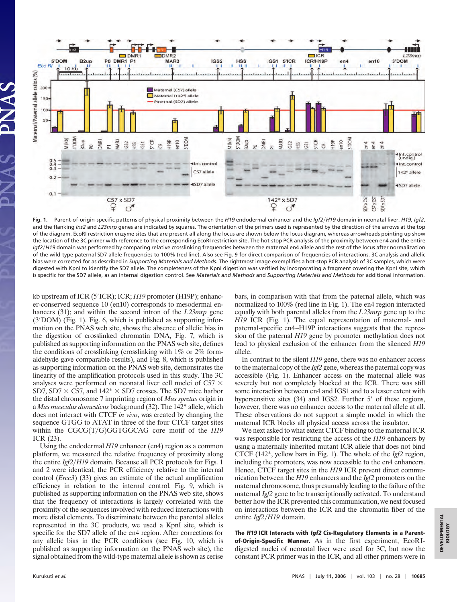

**Fig. 1.** Parent-of-origin-specific patterns of physical proximity between the *H19* endodermal enhancer and the *Igf2*-*H19* domain in neonatal liver. *H19*, *Igf2*, and the flanking *Ins2* and *L23mrp* genes are indicated by squares. The orientation of the primers used is represented by the direction of the arrows at the top of the diagram. EcoRI restriction enzyme sites that are present all along the locus are shown below the locus diagram, whereas arrowheads pointing up show the location of the 3C primer with reference to the corresponding EcoRI restriction site. The hot-stop PCR analysis of the proximity between en4 and the entire Igf2/H19 domain was performed by comparing relative crosslinking frequencies between the maternal en4 allele and the rest of the locus after normalization of the wild-type paternal SD7 allele frequencies to 100% (red line). Also see Fig. 9 for direct comparison of frequencies of interactions. 3C analysis and allelic bias were corrected for as described in *Supporting Materials and Methods*. The rightmost image exemplifies a hot-stop PCR analysis of 3C samples, which were digested with KpnI to identify the SD7 allele. The completeness of the KpnI digestion was verified by incorporating a fragment covering the KpnI site, which is specific for the SD7 allele, as an internal digestion control. See *Materials and Methods* and *Supporting Materials and Methods* for additional information.

kb upstream of ICR (5'ICR); ICR; *H19* promoter (H19P); enhancer-conserved sequence 10 (en10) corresponds to mesodermal enhancers (31); and within the second intron of the *L23mrp* gene  $(3'DOM)$  (Fig. 1). Fig. 6, which is published as supporting information on the PNAS web site, shows the absence of allelic bias in the digestion of crosslinked chromatin DNA, Fig. 7, which is published as supporting information on the PNAS web site, defines the conditions of crosslinking (crosslinking with 1% or 2% formaldehyde gave comparable results), and Fig. 8, which is published as supporting information on the PNAS web site, demonstrates the linearity of the amplification protocols used in this study. The 3C analyses were performed on neonatal liver cell nuclei of C57  $\times$ SD7, SD7  $\times$  C57, and 142<sup>\*</sup>  $\times$  SD7 crosses. The SD7 mice harbor the distal chromosome 7 imprinting region of *Mus spretus* origin in a *Mus musculus domesticus* background (32). The 142\* allele, which does not interact with CTCF *in vivo*, was created by changing the sequence GTGG to ATAT in three of the four CTCF target sites within the CGCG(T/G)GGTGGCAG core motif of the *H19* ICR (23).

Using the endodermal *H19* enhancer (en4) region as a common platform, we measured the relative frequency of proximity along the entire *Igf2/H19* domain. Because all PCR protocols for Figs. 1 and 2 were identical, the PCR efficiency relative to the internal control (*Ercc3*) (33) gives an estimate of the actual amplification efficiency in relation to the internal control. Fig. 9, which is published as supporting information on the PNAS web site, shows that the frequency of interactions is largely correlated with the proximity of the sequences involved with reduced interactions with more distal elements. To discriminate between the parental alleles represented in the 3C products, we used a KpnI site, which is specific for the SD7 allele of the en4 region. After corrections for any allelic bias in the PCR conditions (see Fig. 10, which is published as supporting information on the PNAS web site), the signal obtained from the wild-type maternal allele is shown as cerise bars, in comparison with that from the paternal allele, which was normalized to 100% (red line in Fig. 1). The en4 region interacted equally with both parental alleles from the *L23mrp* gene up to the *H19* ICR (Fig. 1). The equal representation of maternal- and paternal-specific en4–H19P interactions suggests that the repression of the paternal *H19* gene by promoter methylation does not lead to physical exclusion of the enhancer from the silenced *H19* allele.

In contrast to the silent *H19* gene, there was no enhancer access to the maternal copy of the *Igf2* gene, whereas the paternal copy was accessible (Fig. 1). Enhancer access on the maternal allele was severely but not completely blocked at the ICR. There was still some interaction between en4 and IGS1 and to a lesser extent with hypersensitive sites  $(34)$  and IGS2. Further 5' of these regions, however, there was no enhancer access to the maternal allele at all. These observations do not support a simple model in which the maternal ICR blocks all physical access across the insulator.

We next asked to what extent CTCF binding to the maternal ICR was responsible for restricting the access of the *H19* enhancers by using a maternally inherited mutant ICR allele that does not bind CTCF (142\*, yellow bars in Fig. 1). The whole of the *Igf2* region, including the promoters, was now accessible to the en4 enhancers. Hence, CTCF target sites in the *H19* ICR prevent direct communication between the *H19* enhancers and the *Igf2* promoters on the maternal chromosome, thus presumably leading to the failure of the maternal *Igf2* gene to be transcriptionally activated. To understand better how the ICR prevented this communication, we next focused on interactions between the ICR and the chromatin fiber of the entire *Igf2/H19* domain.

**The H19 ICR Interacts with Igf2 Cis-Regulatory Elements in a Parentof-Origin-Specific Manner.** As in the first experiment, EcoRIdigested nuclei of neonatal liver were used for 3C, but now the constant PCR primer was in the ICR, and all other primers were in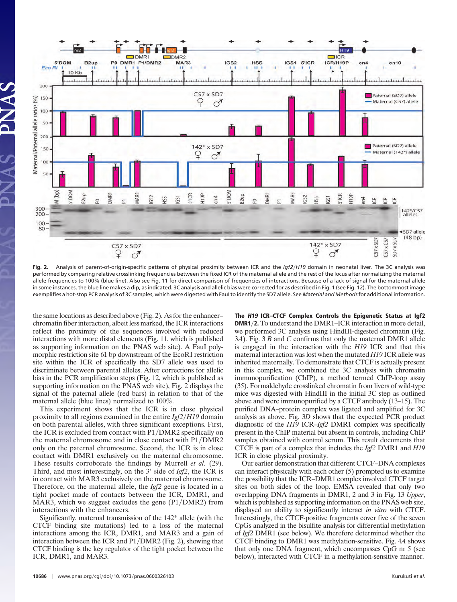

**Fig. 2.** Analysis of parent-of-origin-specific patterns of physical proximity between ICR and the *Igf2*-*H19* domain in neonatal liver. The 3C analysis was performed by comparing relative crosslinking frequencies between the fixed ICR of the maternal allele and the rest of the locus after normalizing the maternal allele frequencies to 100% (blue line). Also see Fig. 11 for direct comparison of frequencies of interactions. Because of a lack of signal for the maternal allele in some instances, the blue line makes a dip, as indicated. 3C analysis and allelic bias were corrected for as described in Fig. 1 (see Fig. 12). The bottommost image exemplifies a hot-stop PCR analysis of 3C samples, which were digested with FauI to identify the SD7 allele. See *Material and Methods*for additional information.

the same locations as described above (Fig. 2). As for the enhancer– chromatin fiber interaction, albeit less marked, the ICR interactions reflect the proximity of the sequences involved with reduced interactions with more distal elements (Fig. 11, which is published as supporting information on the PNAS web site). A FauI polymorphic restriction site 61 bp downstream of the EcoRI restriction site within the ICR of specifically the SD7 allele was used to discriminate between parental alleles. After corrections for allelic bias in the PCR amplification steps (Fig. 12, which is published as supporting information on the PNAS web site), Fig. 2 displays the signal of the paternal allele (red bars) in relation to that of the maternal allele (blue lines) normalized to 100%.

This experiment shows that the ICR is in close physical proximity to all regions examined in the entire *Igf2/H19* domain on both parental alleles, with three significant exceptions. First, the ICR is excluded from contact with  $P1/DMR2$  specifically on the maternal chromosome and in close contact with P1/DMR2 only on the paternal chromosome. Second, the ICR is in close contact with DMR1 exclusively on the maternal chromosome. These results corroborate the findings by Murrell *et al.* (29). Third, and most interestingly, on the 3' side of *Igf2*, the ICR is in contact with MAR3 exclusively on the maternal chromosome. Therefore, on the maternal allele, the *Igf2* gene is located in a tight pocket made of contacts between the ICR, DMR1, and MAR3, which we suggest excludes the gene  $(P1/DMR2)$  from interactions with the enhancers.

Significantly, maternal transmission of the 142\* allele (with the CTCF binding site mutations) led to a loss of the maternal interactions among the ICR, DMR1, and MAR3 and a gain of interaction between the ICR and P1/DMR2 (Fig. 2), showing that CTCF binding is the key regulator of the tight pocket between the ICR, DMR1, and MAR3.

**<sup>10686</sup>** www.pnas.org-cgi-doi-10.1073-pnas.0600326103 Kurukuti *et al.*

**The H19 ICR–CTCF Complex Controls the Epigenetic Status at Igf2 DMR1**-**2.** To understand the DMR1–ICR interaction in more detail, we performed 3C analysis using HindIII-digested chromatin (Fig. 3*A*). Fig. 3 *B* and *C* confirms that only the maternal DMR1 allele is engaged in the interaction with the *H19* ICR and that this maternal interaction was lost when the mutated *H19* ICR allele was inherited maternally. To demonstrate that CTCF is actually present in this complex, we combined the 3C analysis with chromatin immunopurification (ChIP), a method termed ChIP-loop assay (35). Formaldehyde crosslinked chromatin from livers of wild-type mice was digested with HindIII in the initial 3C step as outlined above and were immunopurified by a CTCF antibody (13–15). The purified DNA–protein complex was ligated and amplified for 3C analysis as above. Fig. 3*D* shows that the expected PCR product diagnostic of the *H19* ICR–*Igf2* DMR1 complex was specifically present in the ChIP material but absent in controls, including ChIP samples obtained with control serum. This result documents that CTCF is part of a complex that includes the *Igf2* DMR1 and *H19* ICR in close physical proximity.

Our earlier demonstration that different CTCF–DNA complexes can interact physically with each other (5) prompted us to examine the possibility that the ICR–DMR1 complex involved CTCF target sites on both sides of the loop. EMSA revealed that only two overlapping DNA fragments in DMR1, 2 and 3 in Fig. 13 *Upper*, which is published as supporting information on the PNAS web site, displayed an ability to significantly interact *in vitro* with CTCF. Interestingly, the CTCF-positive fragments cover five of the seven CpGs analyzed in the bisulfite analysis for differential methylation of *Igf2* DMR1 (see below). We therefore determined whether the CTCF binding to DMR1 was methylation-sensitive. Fig. 4*A* shows that only one DNA fragment, which encompasses CpG nr 5 (see below), interacted with CTCF in a methylation-sensitive manner.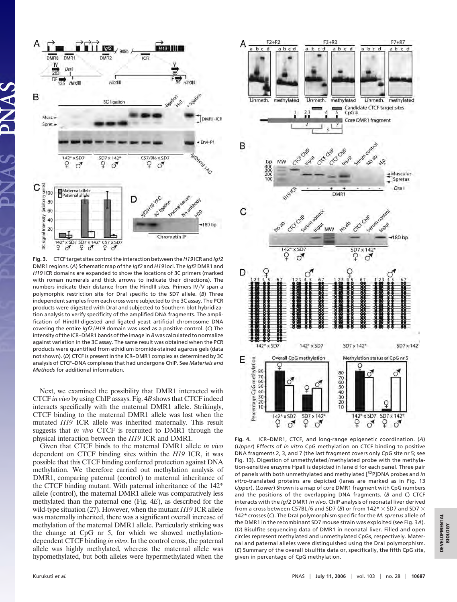

**Fig. 3.** CTCF target sites control the interaction between the *H19* ICR and *Igf2* DMR1 regions. (*A*) Schematic map of the *Igf2* and *H19* loci. The *Igf2* DMR1 and *H19* ICR domains are expanded to show the locations of 3C primers (marked with roman numerals and thick arrows to indicate their directions). The numbers indicate their distance from the HindIII sites. Primers IV/V span a polymorphic restriction site for DraI specific to the SD7 allele. (*B*) Three independent samples from each cross were subjected to the 3C assay. The PCR products were digested with DraI and subjected to Southern blot hybridization analysis to verify specificity of the amplified DNA fragments. The amplification of HindIII-digested and ligated yeast artificial chromosome DNA covering the entire *Igf2*-*H19* domain was used as a positive control. (*C*) The intensity of the ICR–DMR1 bands of the image in *B* was calculated to normalize against variation in the 3C assay. The same result was obtained when the PCR products were quantified from ethidium bromide-stained agarose gels (data not shown). (*D*) CTCF is present in the ICR–DMR1 complex as determined by 3C analysis of CTCF–DNA complexes that had undergone ChIP. See *Materials and Methods* for additional information.

Next, we examined the possibility that DMR1 interacted with CTCF *in vivo* by using ChIP assays. Fig. 4*B* shows that CTCF indeed interacts specifically with the maternal DMR1 allele. Strikingly, CTCF binding to the maternal DMR1 allele was lost when the mutated *H19* ICR allele was inherited maternally. This result suggests that *in vivo* CTCF is recruited to DMR1 through the physical interaction between the *H19* ICR and DMR1.

Given that CTCF binds to the maternal DMR1 allele *in vivo* dependent on CTCF binding sites within the *H19* ICR, it was possible that this CTCF binding conferred protection against DNA methylation. We therefore carried out methylation analysis of DMR1, comparing paternal (control) to maternal inheritance of the CTCF binding mutant. With paternal inheritance of the 142\* allele (control), the maternal DMR1 allele was comparatively less methylated than the paternal one (Fig. 4*E*), as described for the wild-type situation (27). However, when the mutant *H19* ICR allele was maternally inherited, there was a significant overall increase of methylation of the maternal DMR1 allele. Particularly striking was the change at CpG nr 5, for which we showed methylationdependent CTCF binding *in vitro*. In the control cross, the paternal allele was highly methylated, whereas the maternal allele was hypomethylated, but both alleles were hypermethylated when the



**Fig. 4.** ICR–DMR1, CTCF, and long-range epigenetic coordination. (*A*) (*Upper*) Effects of *in vitro* CpG methylation on CTCF binding to positive DNA fragments 2, 3, and 7 (the last fragment covers only CpG site nr 5; see Fig. 13). Digestion of unmethylated/methylated probe with the methylation-sensitive enzyme HpaII is depicted in lane d for each panel. Three pair of panels with both unmethylated and methylated [32P]DNA probes and *in vitro*-translated proteins are depicted (lanes are marked as in Fig. 13 *Upper*). (*Lower*) Shown is a map of core DMR1 fragment with CpG numbers and the positions of the overlapping DNA fragments. (*B* and *C*) CTCF interacts with the *Igf2* DMR1 *in vivo*. ChIP analysis of neonatal liver derived from a cross between C57BL/6 and SD7 (*B*) or from 142\*  $\times$  SD7 and SD7  $\times$ 142\* crosses (*C*). The DraI polymorphism specific for the *M. spretus* allele of the DMR1 in the recombinant SD7 mouse strain was exploited (see Fig. 3*A*). (*D*) Bisulfite sequencing data of DMR1 in neonatal liver. Filled and open circles represent methylated and unmethylated CpGs, respectively. Maternal and paternal alleles were distinguished using the DraI polymorphism. (*E*) Summary of the overall bisulfite data or, specifically, the fifth CpG site, given in percentage of CpG methylation.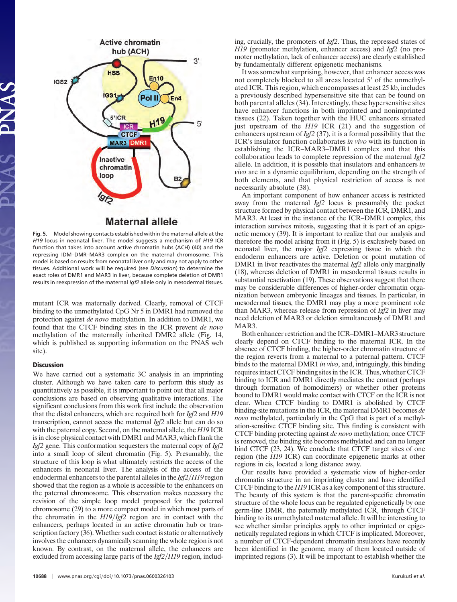

**Maternal allele** 

**Fig. 5.** Model showing contacts established within the maternal allele at the *H19* locus in neonatal liver. The model suggests a mechanism of *H19* ICR function that takes into account active chromatin hubs (ACH) (40) and the repressing IDM–DMR–MAR3 complex on the maternal chromosome. This model is based on results from neonatal liver only and may not apply to other tissues. Additional work will be required (see *Discussion*) to determine the exact roles of DMR1 and MAR3 in liver, because complete deletion of DMR1 results in reexpression of the maternal *Igf2* allele only in mesodermal tissues.

mutant ICR was maternally derived. Clearly, removal of CTCF binding to the unmethylated CpG Nr 5 in DMR1 had removed the protection against *de novo* methylation. In addition to DMR1, we found that the CTCF binding sites in the ICR prevent *de novo* methylation of the maternally inherited DMR2 allele (Fig. 14, which is published as supporting information on the PNAS web site).

## **Discussion**

We have carried out a systematic 3C analysis in an imprinting cluster. Although we have taken care to perform this study as quantitatively as possible, it is important to point out that all major conclusions are based on observing qualitative interactions. The significant conclusions from this work first include the observation that the distal enhancers, which are required both for *Igf2* and *H19* transcription, cannot access the maternal *Igf2* allele but can do so with the paternal copy. Second, on the maternal allele, the *H19* ICR is in close physical contact with DMR1 and MAR3, which flank the *Igf2* gene. This conformation sequesters the maternal copy of *Igf2* into a small loop of silent chromatin (Fig. 5). Presumably, the structure of this loop is what ultimately restricts the access of the enhancers in neonatal liver. The analysis of the access of the endodermal enhancers to the parental alleles in the *Igf2/H19* region showed that the region as a whole is accessible to the enhancers on the paternal chromosome. This observation makes necessary the revision of the simple loop model proposed for the paternal chromosome (29) to a more compact model in which most parts of the chromatin in the *H19/Igf2* region are in contact with the enhancers, perhaps located in an active chromatin hub or transcription factory (36). Whether such contact is static or alternatively involves the enhancers dynamically scanning the whole region is not known. By contrast, on the maternal allele, the enhancers are excluded from accessing large parts of the *Igf2/H19* region, including, crucially, the promoters of *Igf2*. Thus, the repressed states of *H19* (promoter methylation, enhancer access) and *Igf2* (no promoter methylation, lack of enhancer access) are clearly established by fundamentally different epigenetic mechanisms.

It was somewhat surprising, however, that enhancer access was not completely blocked to all areas located 5' of the unmethylated ICR. This region, which encompasses at least 25 kb, includes a previously described hypersensitive site that can be found on both parental alleles (34). Interestingly, these hypersensitive sites have enhancer functions in both imprinted and nonimprinted tissues (22). Taken together with the HUC enhancers situated just upstream of the *H19* ICR (21) and the suggestion of enhancers upstream of *Igf2* (37), it is a formal possibility that the ICR's insulator function collaborates *in vivo* with its function in establishing the ICR–MAR3–DMR1 complex and that this collaboration leads to complete repression of the maternal *Igf2* allele. In addition, it is possible that insulators and enhancers *in vivo* are in a dynamic equilibrium, depending on the strength of both elements, and that physical restriction of access is not necessarily absolute (38).

An important component of how enhancer access is restricted away from the maternal *Igf2* locus is presumably the pocket structure formed by physical contact between the ICR, DMR1, and MAR3. At least in the instance of the ICR–DMR1 complex, this interaction survives mitosis, suggesting that it is part of an epigenetic memory (39). It is important to realize that our analysis and therefore the model arising from it (Fig. 5) is exclusively based on neonatal liver, the major *Igf2* expressing tissue in which the endoderm enhancers are active. Deletion or point mutation of DMR1 in liver reactivates the maternal *Igf2* allele only marginally (18), whereas deletion of DMR1 in mesodermal tissues results in substantial reactivation (19). These observations suggest that there may be considerable differences of higher-order chromatin organization between embryonic lineages and tissues. In particular, in mesodermal tissues, the DMR1 may play a more prominent role than MAR3, whereas release from repression of *Igf2* in liver may need deletion of MAR3 or deletion simultaneously of DMR1 and MAR3.

Both enhancer restriction and the ICR–DMR1–MAR3 structure clearly depend on CTCF binding to the maternal ICR. In the absence of CTCF binding, the higher-order chromatin structure of the region reverts from a maternal to a paternal pattern. CTCF binds to the maternal DMR1 *in vivo*, and, intriguingly, this binding requires intact CTCF binding sites in the ICR. Thus, whether CTCF binding to ICR and DMR1 directly mediates the contact (perhaps through formation of homodimers) or whether other proteins bound to DMR1 would make contact with CTCF on the ICR is not clear. When CTCF binding to DMR1 is abolished by CTCF binding-site mutations in the ICR, the maternal DMR1 becomes *de novo* methylated, particularly in the CpG that is part of a methylation-sensitive CTCF binding site. This finding is consistent with CTCF binding protecting against *de novo* methylation; once CTCF is removed, the binding site becomes methylated and can no longer bind CTCF (23, 24). We conclude that CTCF target sites of one region (the *H19* ICR) can coordinate epigenetic marks at other regions in cis, located a long distance away.

Our results have provided a systematic view of higher-order chromatin structure in an imprinting cluster and have identified CTCF binding to the *H19* ICR as a key component of this structure. The beauty of this system is that the parent-specific chromatin structure of the whole locus can be regulated epigenetically by one germ-line DMR, the paternally methylated ICR, through CTCF binding to its unmethylated maternal allele. It will be interesting to see whether similar principles apply to other imprinted or epigenetically regulated regions in which CTCF is implicated. Moreover, a number of CTCF-dependent chromatin insulators have recently been identified in the genome, many of them located outside of imprinted regions (3). It will be important to establish whether the